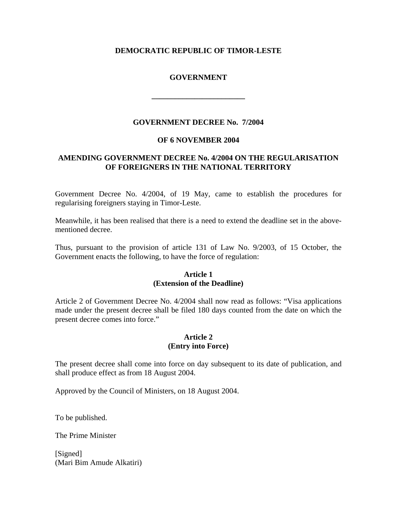# **DEMOCRATIC REPUBLIC OF TIMOR-LESTE**

# **GOVERNMENT**

**\_\_\_\_\_\_\_\_\_\_\_\_\_\_\_\_\_\_\_\_\_\_\_\_** 

## **GOVERNMENT DECREE No. 7/2004**

#### **OF 6 NOVEMBER 2004**

# **AMENDING GOVERNMENT DECREE No. 4/2004 ON THE REGULARISATION OF FOREIGNERS IN THE NATIONAL TERRITORY**

Government Decree No. 4/2004, of 19 May, came to establish the procedures for regularising foreigners staying in Timor-Leste.

Meanwhile, it has been realised that there is a need to extend the deadline set in the abovementioned decree.

Thus, pursuant to the provision of article 131 of Law No. 9/2003, of 15 October, the Government enacts the following, to have the force of regulation:

## **Article 1 (Extension of the Deadline)**

Article 2 of Government Decree No. 4/2004 shall now read as follows: "Visa applications made under the present decree shall be filed 180 days counted from the date on which the present decree comes into force."

## **Article 2 (Entry into Force)**

The present decree shall come into force on day subsequent to its date of publication, and shall produce effect as from 18 August 2004.

Approved by the Council of Ministers, on 18 August 2004.

To be published.

The Prime Minister

[Signed] (Mari Bim Amude Alkatiri)